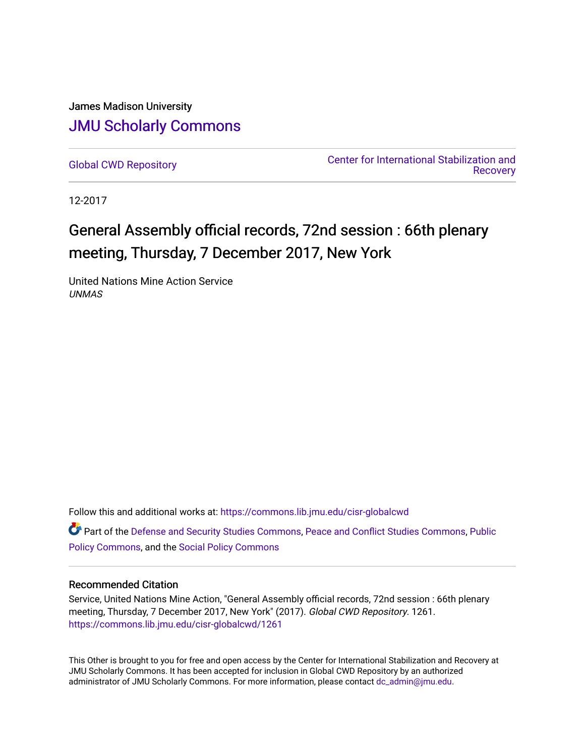James Madison University [JMU Scholarly Commons](https://commons.lib.jmu.edu/)

[Global CWD Repository](https://commons.lib.jmu.edu/cisr-globalcwd) [Center for International Stabilization and](https://commons.lib.jmu.edu/cisr)  **Recovery** 

12-2017

# General Assembly official records, 72nd session : 66th plenary meeting, Thursday, 7 December 2017, New York

United Nations Mine Action Service UNMAS

Follow this and additional works at: [https://commons.lib.jmu.edu/cisr-globalcwd](https://commons.lib.jmu.edu/cisr-globalcwd?utm_source=commons.lib.jmu.edu%2Fcisr-globalcwd%2F1261&utm_medium=PDF&utm_campaign=PDFCoverPages)

Part of the [Defense and Security Studies Commons](http://network.bepress.com/hgg/discipline/394?utm_source=commons.lib.jmu.edu%2Fcisr-globalcwd%2F1261&utm_medium=PDF&utm_campaign=PDFCoverPages), [Peace and Conflict Studies Commons](http://network.bepress.com/hgg/discipline/397?utm_source=commons.lib.jmu.edu%2Fcisr-globalcwd%2F1261&utm_medium=PDF&utm_campaign=PDFCoverPages), [Public](http://network.bepress.com/hgg/discipline/400?utm_source=commons.lib.jmu.edu%2Fcisr-globalcwd%2F1261&utm_medium=PDF&utm_campaign=PDFCoverPages) [Policy Commons](http://network.bepress.com/hgg/discipline/400?utm_source=commons.lib.jmu.edu%2Fcisr-globalcwd%2F1261&utm_medium=PDF&utm_campaign=PDFCoverPages), and the [Social Policy Commons](http://network.bepress.com/hgg/discipline/1030?utm_source=commons.lib.jmu.edu%2Fcisr-globalcwd%2F1261&utm_medium=PDF&utm_campaign=PDFCoverPages)

# Recommended Citation

Service, United Nations Mine Action, "General Assembly official records, 72nd session : 66th plenary meeting, Thursday, 7 December 2017, New York" (2017). Global CWD Repository. 1261. [https://commons.lib.jmu.edu/cisr-globalcwd/1261](https://commons.lib.jmu.edu/cisr-globalcwd/1261?utm_source=commons.lib.jmu.edu%2Fcisr-globalcwd%2F1261&utm_medium=PDF&utm_campaign=PDFCoverPages) 

This Other is brought to you for free and open access by the Center for International Stabilization and Recovery at JMU Scholarly Commons. It has been accepted for inclusion in Global CWD Repository by an authorized administrator of JMU Scholarly Commons. For more information, please contact [dc\\_admin@jmu.edu](mailto:dc_admin@jmu.edu).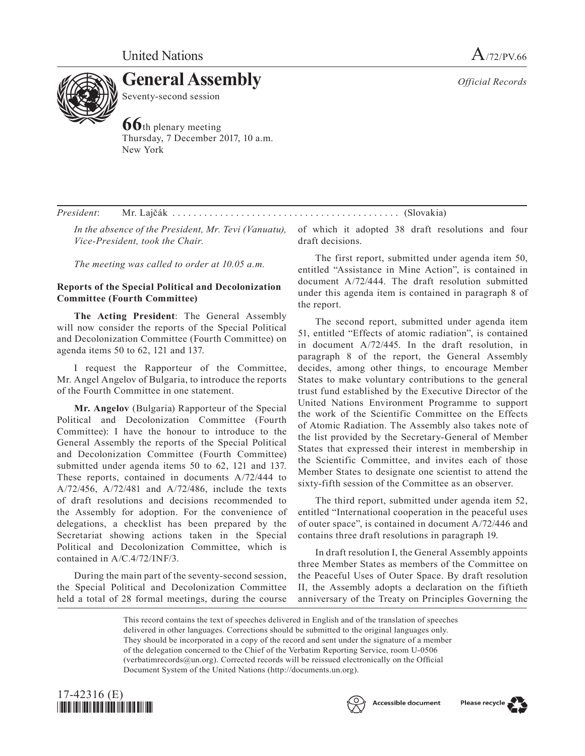

Seventy-second session

**66**th plenary meeting Thursday, 7 December 2017, 10 a.m. New York

*President*: Mr. Lajčák . . (Slovakia)

*In the absence of the President, Mr. Tevi (Vanuatu), Vice-President, took the Chair.*

*The meeting was called to order at 10.05 a.m.*

# **Reports of the Special Political and Decolonization Committee (Fourth Committee)**

**The Acting President**: The General Assembly will now consider the reports of the Special Political and Decolonization Committee (Fourth Committee) on agenda items 50 to 62, 121 and 137.

I request the Rapporteur of the Committee, Mr. Angel Angelov of Bulgaria, to introduce the reports of the Fourth Committee in one statement.

**Mr. Angelov** (Bulgaria) Rapporteur of the Special Political and Decolonization Committee (Fourth Committee): I have the honour to introduce to the General Assembly the reports of the Special Political and Decolonization Committee (Fourth Committee) submitted under agenda items 50 to 62, 121 and 137. These reports, contained in documents A/72/444 to A/72/456, A/72/481 and A/72/486, include the texts of draft resolutions and decisions recommended to the Assembly for adoption. For the convenience of delegations, a checklist has been prepared by the Secretariat showing actions taken in the Special Political and Decolonization Committee, which is contained in A/C.4/72/INF/3.

During the main part of the seventy-second session, the Special Political and Decolonization Committee held a total of 28 formal meetings, during the course of which it adopted 38 draft resolutions and four draft decisions.

The first report, submitted under agenda item 50, entitled "Assistance in Mine Action", is contained in document A/72/444. The draft resolution submitted under this agenda item is contained in paragraph 8 of the report.

The second report, submitted under agenda item 51, entitled "Effects of atomic radiation", is contained in document A/72/445. In the draft resolution, in paragraph 8 of the report, the General Assembly decides, among other things, to encourage Member States to make voluntary contributions to the general trust fund established by the Executive Director of the United Nations Environment Programme to support the work of the Scientific Committee on the Effects of Atomic Radiation. The Assembly also takes note of the list provided by the Secretary-General of Member States that expressed their interest in membership in the Scientific Committee, and invites each of those Member States to designate one scientist to attend the sixty-fifth session of the Committee as an observer.

The third report, submitted under agenda item 52, entitled "International cooperation in the peaceful uses of outer space", is contained in document A/72/446 and contains three draft resolutions in paragraph 19.

In draft resolution I, the General Assembly appoints three Member States as members of the Committee on the Peaceful Uses of Outer Space. By draft resolution II, the Assembly adopts a declaration on the fiftieth anniversary of the Treaty on Principles Governing the

This record contains the text of speeches delivered in English and of the translation of speeches delivered in other languages. Corrections should be submitted to the original languages only. They should be incorporated in a copy of the record and sent under the signature of a member of the delegation concerned to the Chief of the Verbatim Reporting Service, room U-0506 (verbatimrecords@un.org). Corrected records will be reissued electronically on the Official Document System of the United Nations (http://documents.un.org).





*Official Records*



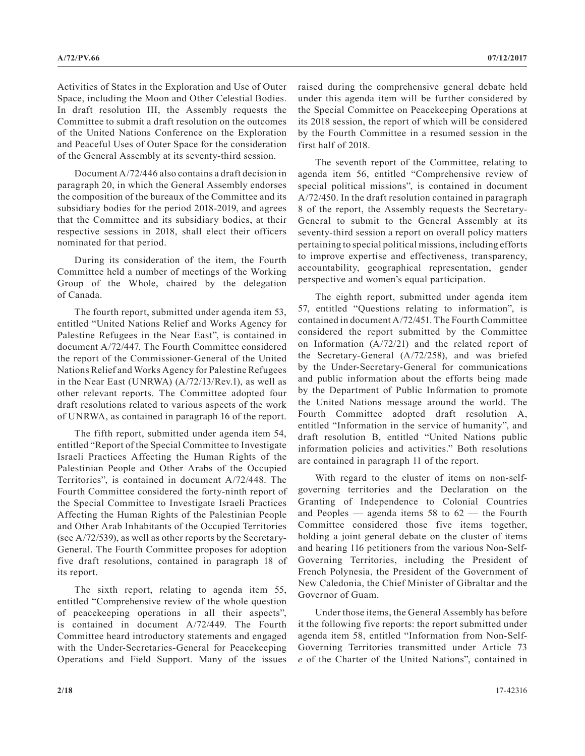Activities of States in the Exploration and Use of Outer Space, including the Moon and Other Celestial Bodies. In draft resolution III, the Assembly requests the Committee to submit a draft resolution on the outcomes of the United Nations Conference on the Exploration and Peaceful Uses of Outer Space for the consideration of the General Assembly at its seventy-third session.

Document A/72/446 also contains a draft decision in paragraph 20, in which the General Assembly endorses the composition of the bureaux of the Committee and its subsidiary bodies for the period 2018-2019, and agrees that the Committee and its subsidiary bodies, at their respective sessions in 2018, shall elect their officers nominated for that period.

During its consideration of the item, the Fourth Committee held a number of meetings of the Working Group of the Whole, chaired by the delegation of Canada.

The fourth report, submitted under agenda item 53, entitled "United Nations Relief and Works Agency for Palestine Refugees in the Near East", is contained in document A/72/447. The Fourth Committee considered the report of the Commissioner-General of the United Nations Relief and Works Agency for Palestine Refugees in the Near East (UNRWA) (A/72/13/Rev.1), as well as other relevant reports. The Committee adopted four draft resolutions related to various aspects of the work of UNRWA, as contained in paragraph 16 of the report.

The fifth report, submitted under agenda item 54, entitled "Report of the Special Committee to Investigate Israeli Practices Affecting the Human Rights of the Palestinian People and Other Arabs of the Occupied Territories", is contained in document A/72/448. The Fourth Committee considered the forty-ninth report of the Special Committee to Investigate Israeli Practices Affecting the Human Rights of the Palestinian People and Other Arab Inhabitants of the Occupied Territories (see A/72/539), as well as other reports by the Secretary-General. The Fourth Committee proposes for adoption five draft resolutions, contained in paragraph 18 of its report.

The sixth report, relating to agenda item 55, entitled "Comprehensive review of the whole question of peacekeeping operations in all their aspects", is contained in document A/72/449. The Fourth Committee heard introductory statements and engaged with the Under-Secretaries-General for Peacekeeping Operations and Field Support. Many of the issues raised during the comprehensive general debate held under this agenda item will be further considered by the Special Committee on Peacekeeping Operations at its 2018 session, the report of which will be considered by the Fourth Committee in a resumed session in the first half of 2018.

The seventh report of the Committee, relating to agenda item 56, entitled "Comprehensive review of special political missions", is contained in document A/72/450. In the draft resolution contained in paragraph 8 of the report, the Assembly requests the Secretary-General to submit to the General Assembly at its seventy-third session a report on overall policy matters pertaining to special political missions, including efforts to improve expertise and effectiveness, transparency, accountability, geographical representation, gender perspective and women's equal participation.

The eighth report, submitted under agenda item 57, entitled "Questions relating to information", is contained in document A/72/451. The Fourth Committee considered the report submitted by the Committee on Information (A/72/21) and the related report of the Secretary-General (A/72/258), and was briefed by the Under-Secretary-General for communications and public information about the efforts being made by the Department of Public Information to promote the United Nations message around the world. The Fourth Committee adopted draft resolution A, entitled "Information in the service of humanity", and draft resolution B, entitled "United Nations public information policies and activities." Both resolutions are contained in paragraph 11 of the report.

With regard to the cluster of items on non-selfgoverning territories and the Declaration on the Granting of Independence to Colonial Countries and Peoples — agenda items 58 to 62 — the Fourth Committee considered those five items together, holding a joint general debate on the cluster of items and hearing 116 petitioners from the various Non-Self-Governing Territories, including the President of French Polynesia, the President of the Government of New Caledonia, the Chief Minister of Gibraltar and the Governor of Guam.

Under those items, the General Assembly has before it the following five reports: the report submitted under agenda item 58, entitled "Information from Non-Self-Governing Territories transmitted under Article 73 *e* of the Charter of the United Nations", contained in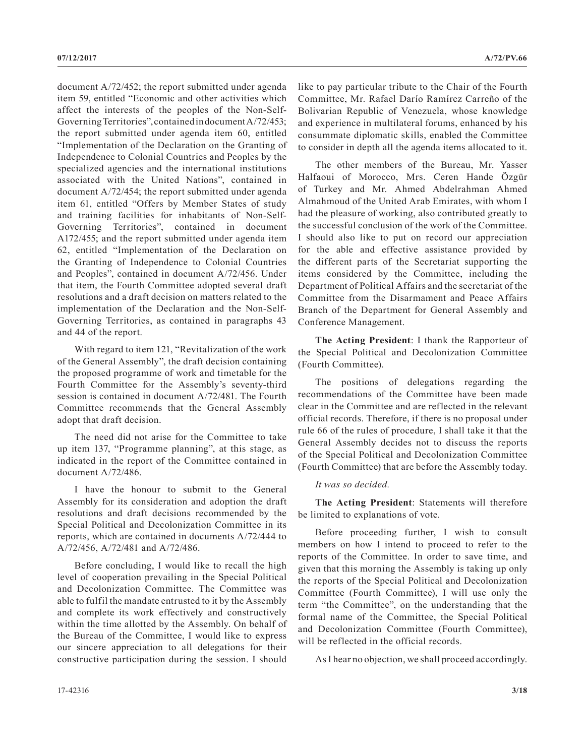document A/72/452; the report submitted under agenda item 59, entitled "Economic and other activities which affect the interests of the peoples of the Non-Self-Governing Territories", contained in document A/72/453; the report submitted under agenda item 60, entitled "Implementation of the Declaration on the Granting of Independence to Colonial Countries and Peoples by the specialized agencies and the international institutions associated with the United Nations", contained in document A/72/454; the report submitted under agenda item 61, entitled "Offers by Member States of study and training facilities for inhabitants of Non-Self-Governing Territories", contained in document A172/455; and the report submitted under agenda item 62, entitled "Implementation of the Declaration on the Granting of Independence to Colonial Countries and Peoples", contained in document A/72/456. Under that item, the Fourth Committee adopted several draft resolutions and a draft decision on matters related to the implementation of the Declaration and the Non-Self-Governing Territories, as contained in paragraphs 43 and 44 of the report.

With regard to item 121, "Revitalization of the work of the General Assembly", the draft decision containing the proposed programme of work and timetable for the Fourth Committee for the Assembly's seventy-third session is contained in document A/72/481. The Fourth Committee recommends that the General Assembly adopt that draft decision.

The need did not arise for the Committee to take up item 137, "Programme planning", at this stage, as indicated in the report of the Committee contained in document A/72/486.

I have the honour to submit to the General Assembly for its consideration and adoption the draft resolutions and draft decisions recommended by the Special Political and Decolonization Committee in its reports, which are contained in documents A/72/444 to A/72/456, A/72/481 and A/72/486.

Before concluding, I would like to recall the high level of cooperation prevailing in the Special Political and Decolonization Committee. The Committee was able to fulfil the mandate entrusted to it by the Assembly and complete its work effectively and constructively within the time allotted by the Assembly. On behalf of the Bureau of the Committee, I would like to express our sincere appreciation to all delegations for their constructive participation during the session. I should

like to pay particular tribute to the Chair of the Fourth Committee, Mr. Rafael Darío Ramírez Carreño of the Bolivarian Republic of Venezuela, whose knowledge and experience in multilateral forums, enhanced by his consummate diplomatic skills, enabled the Committee to consider in depth all the agenda items allocated to it.

The other members of the Bureau, Mr. Yasser Halfaoui of Morocco, Mrs. Ceren Hande Özgür of Turkey and Mr. Ahmed Abdelrahman Ahmed Almahmoud of the United Arab Emirates, with whom I had the pleasure of working, also contributed greatly to the successful conclusion of the work of the Committee. I should also like to put on record our appreciation for the able and effective assistance provided by the different parts of the Secretariat supporting the items considered by the Committee, including the Department of Political Affairs and the secretariat of the Committee from the Disarmament and Peace Affairs Branch of the Department for General Assembly and Conference Management.

**The Acting President**: I thank the Rapporteur of the Special Political and Decolonization Committee (Fourth Committee).

The positions of delegations regarding the recommendations of the Committee have been made clear in the Committee and are reflected in the relevant official records. Therefore, if there is no proposal under rule 66 of the rules of procedure, I shall take it that the General Assembly decides not to discuss the reports of the Special Political and Decolonization Committee (Fourth Committee) that are before the Assembly today.

# *It was so decided.*

**The Acting President**: Statements will therefore be limited to explanations of vote.

Before proceeding further, I wish to consult members on how I intend to proceed to refer to the reports of the Committee. In order to save time, and given that this morning the Assembly is taking up only the reports of the Special Political and Decolonization Committee (Fourth Committee), I will use only the term "the Committee", on the understanding that the formal name of the Committee, the Special Political and Decolonization Committee (Fourth Committee), will be reflected in the official records.

As I hear no objection, we shall proceed accordingly.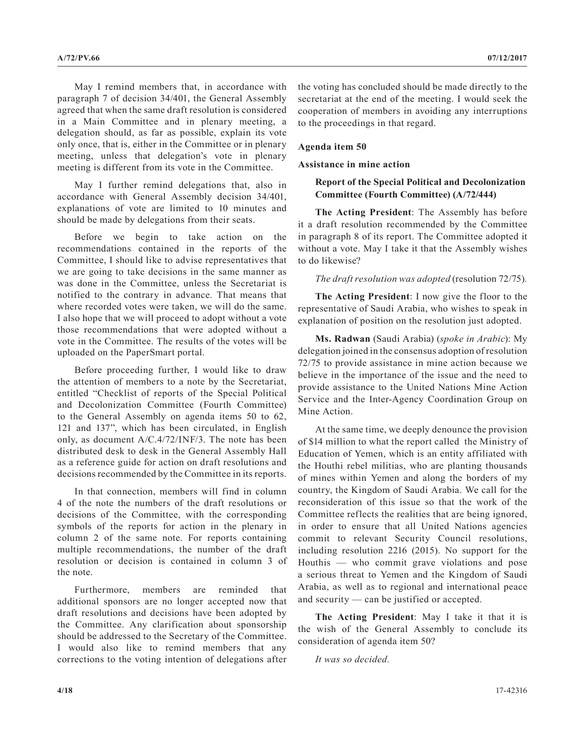May I remind members that, in accordance with paragraph 7 of decision 34/401, the General Assembly agreed that when the same draft resolution is considered in a Main Committee and in plenary meeting, a delegation should, as far as possible, explain its vote only once, that is, either in the Committee or in plenary meeting, unless that delegation's vote in plenary meeting is different from its vote in the Committee.

May I further remind delegations that, also in accordance with General Assembly decision 34/401, explanations of vote are limited to 10 minutes and should be made by delegations from their seats.

Before we begin to take action on the recommendations contained in the reports of the Committee, I should like to advise representatives that we are going to take decisions in the same manner as was done in the Committee, unless the Secretariat is notified to the contrary in advance. That means that where recorded votes were taken, we will do the same. I also hope that we will proceed to adopt without a vote those recommendations that were adopted without a vote in the Committee. The results of the votes will be uploaded on the PaperSmart portal.

Before proceeding further, I would like to draw the attention of members to a note by the Secretariat, entitled "Checklist of reports of the Special Political and Decolonization Committee (Fourth Committee) to the General Assembly on agenda items 50 to 62, 121 and 137", which has been circulated, in English only, as document A/C.4/72/INF/3. The note has been distributed desk to desk in the General Assembly Hall as a reference guide for action on draft resolutions and decisions recommended by the Committee in its reports.

In that connection, members will find in column 4 of the note the numbers of the draft resolutions or decisions of the Committee, with the corresponding symbols of the reports for action in the plenary in column 2 of the same note. For reports containing multiple recommendations, the number of the draft resolution or decision is contained in column 3 of the note.

Furthermore, members are reminded that additional sponsors are no longer accepted now that draft resolutions and decisions have been adopted by the Committee. Any clarification about sponsorship should be addressed to the Secretary of the Committee. I would also like to remind members that any corrections to the voting intention of delegations after the voting has concluded should be made directly to the secretariat at the end of the meeting. I would seek the cooperation of members in avoiding any interruptions to the proceedings in that regard.

# **Agenda item 50**

# **Assistance in mine action**

# **Report of the Special Political and Decolonization Committee (Fourth Committee) (A/72/444)**

**The Acting President**: The Assembly has before it a draft resolution recommended by the Committee in paragraph 8 of its report. The Committee adopted it without a vote. May I take it that the Assembly wishes to do likewise?

*The draft resolution was adopted* (resolution 72/75)*.*

**The Acting President**: I now give the floor to the representative of Saudi Arabia, who wishes to speak in explanation of position on the resolution just adopted.

**Ms. Radwan** (Saudi Arabia) (*spoke in Arabic*): My delegation joined in the consensus adoption of resolution 72/75 to provide assistance in mine action because we believe in the importance of the issue and the need to provide assistance to the United Nations Mine Action Service and the Inter-Agency Coordination Group on Mine Action.

At the same time, we deeply denounce the provision of \$14 million to what the report called the Ministry of Education of Yemen, which is an entity affiliated with the Houthi rebel militias, who are planting thousands of mines within Yemen and along the borders of my country, the Kingdom of Saudi Arabia. We call for the reconsideration of this issue so that the work of the Committee reflects the realities that are being ignored, in order to ensure that all United Nations agencies commit to relevant Security Council resolutions, including resolution 2216 (2015). No support for the Houthis — who commit grave violations and pose a serious threat to Yemen and the Kingdom of Saudi Arabia, as well as to regional and international peace and security — can be justified or accepted.

**The Acting President**: May I take it that it is the wish of the General Assembly to conclude its consideration of agenda item 50?

*It was so decided.*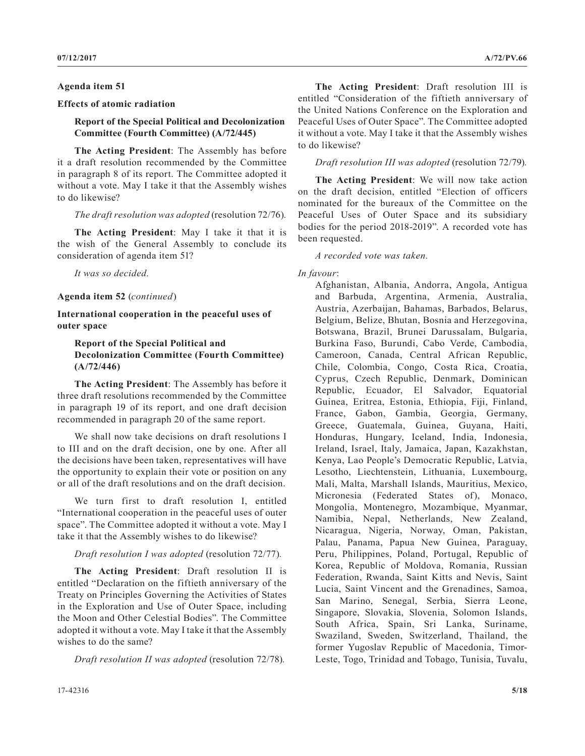## **Agenda item 51**

# **Effects of atomic radiation**

# **Report of the Special Political and Decolonization Committee (Fourth Committee) (A/72/445)**

**The Acting President**: The Assembly has before it a draft resolution recommended by the Committee in paragraph 8 of its report. The Committee adopted it without a vote. May I take it that the Assembly wishes to do likewise?

## *The draft resolution was adopted* (resolution 72/76)*.*

**The Acting President**: May I take it that it is the wish of the General Assembly to conclude its consideration of agenda item 51?

*It was so decided.*

## **Agenda item 52** (*continued*)

# **International cooperation in the peaceful uses of outer space**

# **Report of the Special Political and Decolonization Committee (Fourth Committee) (A/72/446)**

**The Acting President**: The Assembly has before it three draft resolutions recommended by the Committee in paragraph 19 of its report, and one draft decision recommended in paragraph 20 of the same report.

We shall now take decisions on draft resolutions I to III and on the draft decision, one by one. After all the decisions have been taken, representatives will have the opportunity to explain their vote or position on any or all of the draft resolutions and on the draft decision.

We turn first to draft resolution I, entitled "International cooperation in the peaceful uses of outer space". The Committee adopted it without a vote. May I take it that the Assembly wishes to do likewise?

## *Draft resolution I was adopted* (resolution 72/77)*.*

**The Acting President**: Draft resolution II is entitled "Declaration on the fiftieth anniversary of the Treaty on Principles Governing the Activities of States in the Exploration and Use of Outer Space, including the Moon and Other Celestial Bodies". The Committee adopted it without a vote. May I take it that the Assembly wishes to do the same?

*Draft resolution II was adopted* (resolution 72/78)*.*

**The Acting President**: Draft resolution III is entitled "Consideration of the fiftieth anniversary of the United Nations Conference on the Exploration and Peaceful Uses of Outer Space". The Committee adopted it without a vote. May I take it that the Assembly wishes to do likewise?

*Draft resolution III was adopted* (resolution 72/79)*.*

**The Acting President**: We will now take action on the draft decision, entitled "Election of officers nominated for the bureaux of the Committee on the Peaceful Uses of Outer Space and its subsidiary bodies for the period 2018-2019". A recorded vote has been requested.

*A recorded vote was taken.*

# *In favour*:

Afghanistan, Albania, Andorra, Angola, Antigua and Barbuda, Argentina, Armenia, Australia, Austria, Azerbaijan, Bahamas, Barbados, Belarus, Belgium, Belize, Bhutan, Bosnia and Herzegovina, Botswana, Brazil, Brunei Darussalam, Bulgaria, Burkina Faso, Burundi, Cabo Verde, Cambodia, Cameroon, Canada, Central African Republic, Chile, Colombia, Congo, Costa Rica, Croatia, Cyprus, Czech Republic, Denmark, Dominican Republic, Ecuador, El Salvador, Equatorial Guinea, Eritrea, Estonia, Ethiopia, Fiji, Finland, France, Gabon, Gambia, Georgia, Germany, Greece, Guatemala, Guinea, Guyana, Haiti, Honduras, Hungary, Iceland, India, Indonesia, Ireland, Israel, Italy, Jamaica, Japan, Kazakhstan, Kenya, Lao People's Democratic Republic, Latvia, Lesotho, Liechtenstein, Lithuania, Luxembourg, Mali, Malta, Marshall Islands, Mauritius, Mexico, Micronesia (Federated States of), Monaco, Mongolia, Montenegro, Mozambique, Myanmar, Namibia, Nepal, Netherlands, New Zealand, Nicaragua, Nigeria, Norway, Oman, Pakistan, Palau, Panama, Papua New Guinea, Paraguay, Peru, Philippines, Poland, Portugal, Republic of Korea, Republic of Moldova, Romania, Russian Federation, Rwanda, Saint Kitts and Nevis, Saint Lucia, Saint Vincent and the Grenadines, Samoa, San Marino, Senegal, Serbia, Sierra Leone, Singapore, Slovakia, Slovenia, Solomon Islands, South Africa, Spain, Sri Lanka, Suriname, Swaziland, Sweden, Switzerland, Thailand, the former Yugoslav Republic of Macedonia, Timor-Leste, Togo, Trinidad and Tobago, Tunisia, Tuvalu,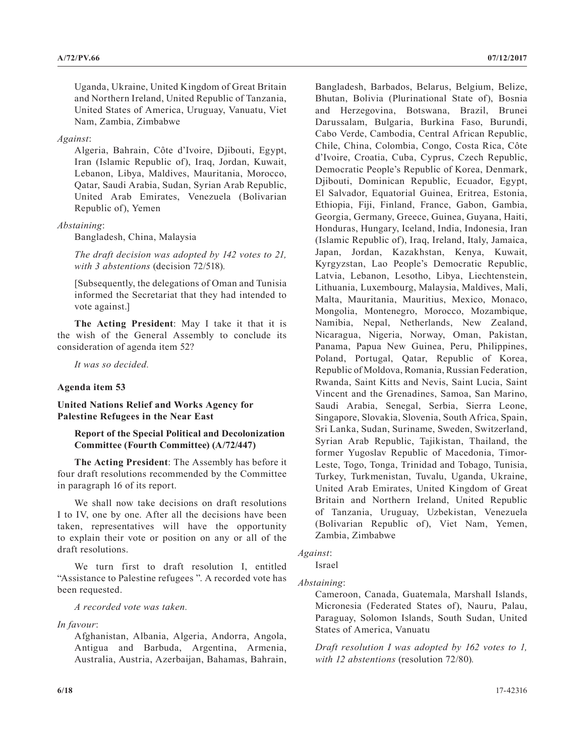Uganda, Ukraine, United Kingdom of Great Britain and Northern Ireland, United Republic of Tanzania, United States of America, Uruguay, Vanuatu, Viet Nam, Zambia, Zimbabwe

# *Against*:

Algeria, Bahrain, Côte d'Ivoire, Djibouti, Egypt, Iran (Islamic Republic of), Iraq, Jordan, Kuwait, Lebanon, Libya, Maldives, Mauritania, Morocco, Qatar, Saudi Arabia, Sudan, Syrian Arab Republic, United Arab Emirates, Venezuela (Bolivarian Republic of), Yemen

## *Abstaining*:

Bangladesh, China, Malaysia

*The draft decision was adopted by 142 votes to 21, with 3 abstentions* (decision 72/518)*.*

[Subsequently, the delegations of Oman and Tunisia informed the Secretariat that they had intended to vote against.]

**The Acting President**: May I take it that it is the wish of the General Assembly to conclude its consideration of agenda item 52?

*It was so decided.*

## **Agenda item 53**

**United Nations Relief and Works Agency for Palestine Refugees in the Near East**

# **Report of the Special Political and Decolonization Committee (Fourth Committee) (A/72/447)**

**The Acting President**: The Assembly has before it four draft resolutions recommended by the Committee in paragraph 16 of its report.

We shall now take decisions on draft resolutions I to IV, one by one. After all the decisions have been taken, representatives will have the opportunity to explain their vote or position on any or all of the draft resolutions.

We turn first to draft resolution I, entitled "Assistance to Palestine refugees ". A recorded vote has been requested.

*A recorded vote was taken.*

## *In favour*:

Afghanistan, Albania, Algeria, Andorra, Angola, Antigua and Barbuda, Argentina, Armenia, Australia, Austria, Azerbaijan, Bahamas, Bahrain, Bangladesh, Barbados, Belarus, Belgium, Belize, Bhutan, Bolivia (Plurinational State of), Bosnia and Herzegovina, Botswana, Brazil, Brunei Darussalam, Bulgaria, Burkina Faso, Burundi, Cabo Verde, Cambodia, Central African Republic, Chile, China, Colombia, Congo, Costa Rica, Côte d'Ivoire, Croatia, Cuba, Cyprus, Czech Republic, Democratic People's Republic of Korea, Denmark, Djibouti, Dominican Republic, Ecuador, Egypt, El Salvador, Equatorial Guinea, Eritrea, Estonia, Ethiopia, Fiji, Finland, France, Gabon, Gambia, Georgia, Germany, Greece, Guinea, Guyana, Haiti, Honduras, Hungary, Iceland, India, Indonesia, Iran (Islamic Republic of), Iraq, Ireland, Italy, Jamaica, Japan, Jordan, Kazakhstan, Kenya, Kuwait, Kyrgyzstan, Lao People's Democratic Republic, Latvia, Lebanon, Lesotho, Libya, Liechtenstein, Lithuania, Luxembourg, Malaysia, Maldives, Mali, Malta, Mauritania, Mauritius, Mexico, Monaco, Mongolia, Montenegro, Morocco, Mozambique, Namibia, Nepal, Netherlands, New Zealand, Nicaragua, Nigeria, Norway, Oman, Pakistan, Panama, Papua New Guinea, Peru, Philippines, Poland, Portugal, Qatar, Republic of Korea, Republic of Moldova, Romania, Russian Federation, Rwanda, Saint Kitts and Nevis, Saint Lucia, Saint Vincent and the Grenadines, Samoa, San Marino, Saudi Arabia, Senegal, Serbia, Sierra Leone, Singapore, Slovakia, Slovenia, South Africa, Spain, Sri Lanka, Sudan, Suriname, Sweden, Switzerland, Syrian Arab Republic, Tajikistan, Thailand, the former Yugoslav Republic of Macedonia, Timor-Leste, Togo, Tonga, Trinidad and Tobago, Tunisia, Turkey, Turkmenistan, Tuvalu, Uganda, Ukraine, United Arab Emirates, United Kingdom of Great Britain and Northern Ireland, United Republic of Tanzania, Uruguay, Uzbekistan, Venezuela (Bolivarian Republic of), Viet Nam, Yemen, Zambia, Zimbabwe

# *Against*:

Israel

*Abstaining*:

Cameroon, Canada, Guatemala, Marshall Islands, Micronesia (Federated States of), Nauru, Palau, Paraguay, Solomon Islands, South Sudan, United States of America, Vanuatu

*Draft resolution I was adopted by 162 votes to 1, with 12 abstentions* (resolution 72/80)*.*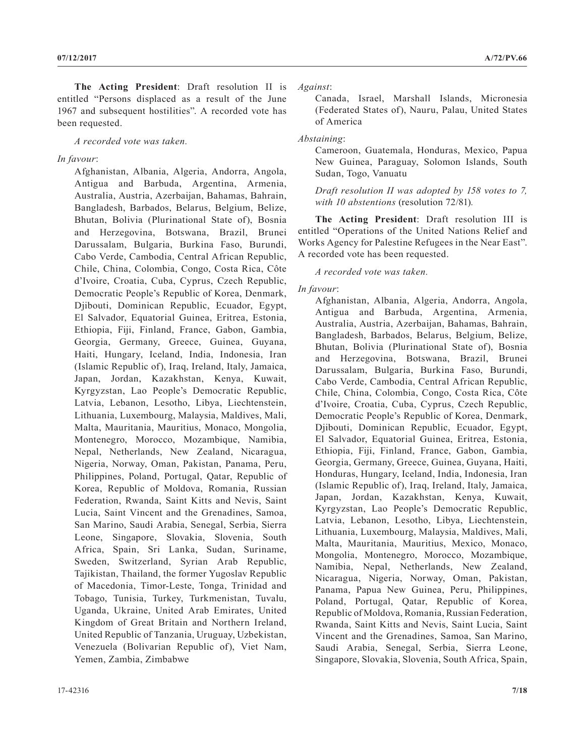**The Acting President**: Draft resolution II is entitled "Persons displaced as a result of the June 1967 and subsequent hostilities". A recorded vote has been requested.

*A recorded vote was taken.*

## *In favour*:

Afghanistan, Albania, Algeria, Andorra, Angola, Antigua and Barbuda, Argentina, Armenia, Australia, Austria, Azerbaijan, Bahamas, Bahrain, Bangladesh, Barbados, Belarus, Belgium, Belize, Bhutan, Bolivia (Plurinational State of), Bosnia and Herzegovina, Botswana, Brazil, Brunei Darussalam, Bulgaria, Burkina Faso, Burundi, Cabo Verde, Cambodia, Central African Republic, Chile, China, Colombia, Congo, Costa Rica, Côte d'Ivoire, Croatia, Cuba, Cyprus, Czech Republic, Democratic People's Republic of Korea, Denmark, Djibouti, Dominican Republic, Ecuador, Egypt, El Salvador, Equatorial Guinea, Eritrea, Estonia, Ethiopia, Fiji, Finland, France, Gabon, Gambia, Georgia, Germany, Greece, Guinea, Guyana, Haiti, Hungary, Iceland, India, Indonesia, Iran (Islamic Republic of), Iraq, Ireland, Italy, Jamaica, Japan, Jordan, Kazakhstan, Kenya, Kuwait, Kyrgyzstan, Lao People's Democratic Republic, Latvia, Lebanon, Lesotho, Libya, Liechtenstein, Lithuania, Luxembourg, Malaysia, Maldives, Mali, Malta, Mauritania, Mauritius, Monaco, Mongolia, Montenegro, Morocco, Mozambique, Namibia, Nepal, Netherlands, New Zealand, Nicaragua, Nigeria, Norway, Oman, Pakistan, Panama, Peru, Philippines, Poland, Portugal, Qatar, Republic of Korea, Republic of Moldova, Romania, Russian Federation, Rwanda, Saint Kitts and Nevis, Saint Lucia, Saint Vincent and the Grenadines, Samoa, San Marino, Saudi Arabia, Senegal, Serbia, Sierra Leone, Singapore, Slovakia, Slovenia, South Africa, Spain, Sri Lanka, Sudan, Suriname, Sweden, Switzerland, Syrian Arab Republic, Tajikistan, Thailand, the former Yugoslav Republic of Macedonia, Timor-Leste, Tonga, Trinidad and Tobago, Tunisia, Turkey, Turkmenistan, Tuvalu, Uganda, Ukraine, United Arab Emirates, United Kingdom of Great Britain and Northern Ireland, United Republic of Tanzania, Uruguay, Uzbekistan, Venezuela (Bolivarian Republic of), Viet Nam, Yemen, Zambia, Zimbabwe

*Against*:

Canada, Israel, Marshall Islands, Micronesia (Federated States of), Nauru, Palau, United States of America

# *Abstaining*:

Cameroon, Guatemala, Honduras, Mexico, Papua New Guinea, Paraguay, Solomon Islands, South Sudan, Togo, Vanuatu

*Draft resolution II was adopted by 158 votes to 7, with 10 abstentions* (resolution 72/81)*.*

**The Acting President**: Draft resolution III is entitled "Operations of the United Nations Relief and Works Agency for Palestine Refugees in the Near East". A recorded vote has been requested.

## *A recorded vote was taken.*

# *In favour*:

Afghanistan, Albania, Algeria, Andorra, Angola, Antigua and Barbuda, Argentina, Armenia, Australia, Austria, Azerbaijan, Bahamas, Bahrain, Bangladesh, Barbados, Belarus, Belgium, Belize, Bhutan, Bolivia (Plurinational State of), Bosnia and Herzegovina, Botswana, Brazil, Brunei Darussalam, Bulgaria, Burkina Faso, Burundi, Cabo Verde, Cambodia, Central African Republic, Chile, China, Colombia, Congo, Costa Rica, Côte d'Ivoire, Croatia, Cuba, Cyprus, Czech Republic, Democratic People's Republic of Korea, Denmark, Djibouti, Dominican Republic, Ecuador, Egypt, El Salvador, Equatorial Guinea, Eritrea, Estonia, Ethiopia, Fiji, Finland, France, Gabon, Gambia, Georgia, Germany, Greece, Guinea, Guyana, Haiti, Honduras, Hungary, Iceland, India, Indonesia, Iran (Islamic Republic of), Iraq, Ireland, Italy, Jamaica, Japan, Jordan, Kazakhstan, Kenya, Kuwait, Kyrgyzstan, Lao People's Democratic Republic, Latvia, Lebanon, Lesotho, Libya, Liechtenstein, Lithuania, Luxembourg, Malaysia, Maldives, Mali, Malta, Mauritania, Mauritius, Mexico, Monaco, Mongolia, Montenegro, Morocco, Mozambique, Namibia, Nepal, Netherlands, New Zealand, Nicaragua, Nigeria, Norway, Oman, Pakistan, Panama, Papua New Guinea, Peru, Philippines, Poland, Portugal, Qatar, Republic of Korea, Republic of Moldova, Romania, Russian Federation, Rwanda, Saint Kitts and Nevis, Saint Lucia, Saint Vincent and the Grenadines, Samoa, San Marino, Saudi Arabia, Senegal, Serbia, Sierra Leone, Singapore, Slovakia, Slovenia, South Africa, Spain,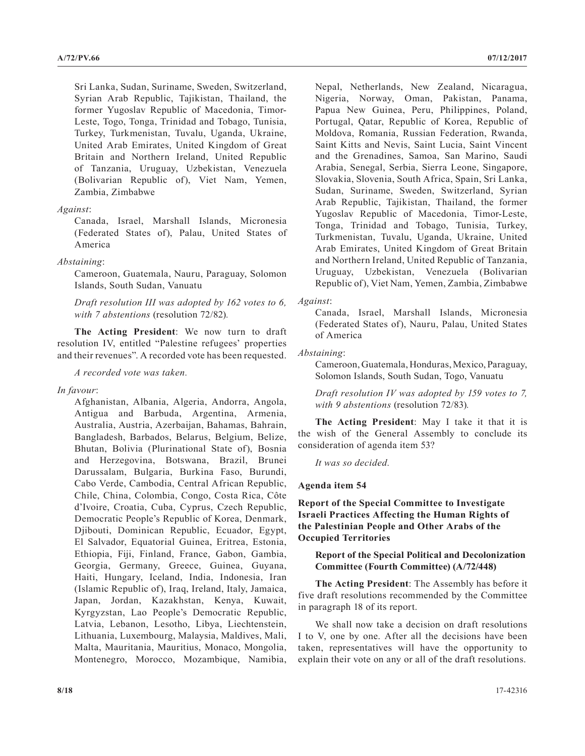Sri Lanka, Sudan, Suriname, Sweden, Switzerland, Syrian Arab Republic, Tajikistan, Thailand, the former Yugoslav Republic of Macedonia, Timor-Leste, Togo, Tonga, Trinidad and Tobago, Tunisia, Turkey, Turkmenistan, Tuvalu, Uganda, Ukraine, United Arab Emirates, United Kingdom of Great Britain and Northern Ireland, United Republic of Tanzania, Uruguay, Uzbekistan, Venezuela (Bolivarian Republic of), Viet Nam, Yemen, Zambia, Zimbabwe

## *Against*:

Canada, Israel, Marshall Islands, Micronesia (Federated States of), Palau, United States of America

#### *Abstaining*:

Cameroon, Guatemala, Nauru, Paraguay, Solomon Islands, South Sudan, Vanuatu

*Draft resolution III was adopted by 162 votes to 6, with 7 abstentions* (resolution 72/82)*.*

**The Acting President**: We now turn to draft resolution IV, entitled "Palestine refugees' properties and their revenues". A recorded vote has been requested.

*A recorded vote was taken.*

#### *In favour*:

Afghanistan, Albania, Algeria, Andorra, Angola, Antigua and Barbuda, Argentina, Armenia, Australia, Austria, Azerbaijan, Bahamas, Bahrain, Bangladesh, Barbados, Belarus, Belgium, Belize, Bhutan, Bolivia (Plurinational State of), Bosnia and Herzegovina, Botswana, Brazil, Brunei Darussalam, Bulgaria, Burkina Faso, Burundi, Cabo Verde, Cambodia, Central African Republic, Chile, China, Colombia, Congo, Costa Rica, Côte d'Ivoire, Croatia, Cuba, Cyprus, Czech Republic, Democratic People's Republic of Korea, Denmark, Djibouti, Dominican Republic, Ecuador, Egypt, El Salvador, Equatorial Guinea, Eritrea, Estonia, Ethiopia, Fiji, Finland, France, Gabon, Gambia, Georgia, Germany, Greece, Guinea, Guyana, Haiti, Hungary, Iceland, India, Indonesia, Iran (Islamic Republic of), Iraq, Ireland, Italy, Jamaica, Japan, Jordan, Kazakhstan, Kenya, Kuwait, Kyrgyzstan, Lao People's Democratic Republic, Latvia, Lebanon, Lesotho, Libya, Liechtenstein, Lithuania, Luxembourg, Malaysia, Maldives, Mali, Malta, Mauritania, Mauritius, Monaco, Mongolia, Montenegro, Morocco, Mozambique, Namibia, Nepal, Netherlands, New Zealand, Nicaragua, Nigeria, Norway, Oman, Pakistan, Panama, Papua New Guinea, Peru, Philippines, Poland, Portugal, Qatar, Republic of Korea, Republic of Moldova, Romania, Russian Federation, Rwanda, Saint Kitts and Nevis, Saint Lucia, Saint Vincent and the Grenadines, Samoa, San Marino, Saudi Arabia, Senegal, Serbia, Sierra Leone, Singapore, Slovakia, Slovenia, South Africa, Spain, Sri Lanka, Sudan, Suriname, Sweden, Switzerland, Syrian Arab Republic, Tajikistan, Thailand, the former Yugoslav Republic of Macedonia, Timor-Leste, Tonga, Trinidad and Tobago, Tunisia, Turkey, Turkmenistan, Tuvalu, Uganda, Ukraine, United Arab Emirates, United Kingdom of Great Britain and Northern Ireland, United Republic of Tanzania, Uruguay, Uzbekistan, Venezuela (Bolivarian Republic of), Viet Nam, Yemen, Zambia, Zimbabwe

#### *Against*:

Canada, Israel, Marshall Islands, Micronesia (Federated States of), Nauru, Palau, United States of America

## *Abstaining*:

Cameroon, Guatemala, Honduras, Mexico, Paraguay, Solomon Islands, South Sudan, Togo, Vanuatu

*Draft resolution IV was adopted by 159 votes to 7, with 9 abstentions* (resolution 72/83)*.*

**The Acting President**: May I take it that it is the wish of the General Assembly to conclude its consideration of agenda item 53?

*It was so decided.*

#### **Agenda item 54**

**Report of the Special Committee to Investigate Israeli Practices Affecting the Human Rights of the Palestinian People and Other Arabs of the Occupied Territories**

# **Report of the Special Political and Decolonization Committee (Fourth Committee) (A/72/448)**

**The Acting President**: The Assembly has before it five draft resolutions recommended by the Committee in paragraph 18 of its report.

We shall now take a decision on draft resolutions I to V, one by one. After all the decisions have been taken, representatives will have the opportunity to explain their vote on any or all of the draft resolutions.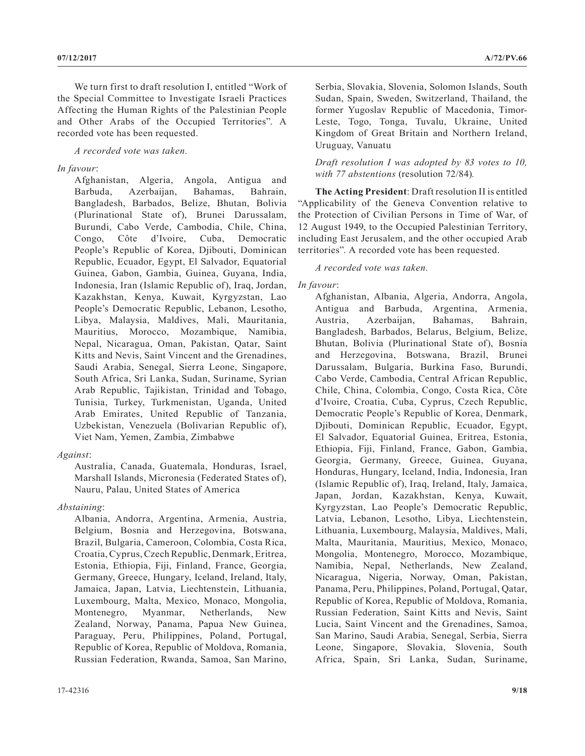We turn first to draft resolution I, entitled "Work of the Special Committee to Investigate Israeli Practices Affecting the Human Rights of the Palestinian People and Other Arabs of the Occupied Territories". A recorded vote has been requested.

*A recorded vote was taken.*

# *In favour*:

Afghanistan, Algeria, Angola, Antigua and Barbuda, Azerbaijan, Bahamas, Bahrain, Bangladesh, Barbados, Belize, Bhutan, Bolivia (Plurinational State of), Brunei Darussalam, Burundi, Cabo Verde, Cambodia, Chile, China, Congo, Côte d'Ivoire, Cuba, Democratic People's Republic of Korea, Djibouti, Dominican Republic, Ecuador, Egypt, El Salvador, Equatorial Guinea, Gabon, Gambia, Guinea, Guyana, India, Indonesia, Iran (Islamic Republic of), Iraq, Jordan, Kazakhstan, Kenya, Kuwait, Kyrgyzstan, Lao People's Democratic Republic, Lebanon, Lesotho, Libya, Malaysia, Maldives, Mali, Mauritania, Mauritius, Morocco, Mozambique, Namibia, Nepal, Nicaragua, Oman, Pakistan, Qatar, Saint Kitts and Nevis, Saint Vincent and the Grenadines, Saudi Arabia, Senegal, Sierra Leone, Singapore, South Africa, Sri Lanka, Sudan, Suriname, Syrian Arab Republic, Tajikistan, Trinidad and Tobago, Tunisia, Turkey, Turkmenistan, Uganda, United Arab Emirates, United Republic of Tanzania, Uzbekistan, Venezuela (Bolivarian Republic of), Viet Nam, Yemen, Zambia, Zimbabwe

# *Against*:

Australia, Canada, Guatemala, Honduras, Israel, Marshall Islands, Micronesia (Federated States of), Nauru, Palau, United States of America

# *Abstaining*:

Albania, Andorra, Argentina, Armenia, Austria, Belgium, Bosnia and Herzegovina, Botswana, Brazil, Bulgaria, Cameroon, Colombia, Costa Rica, Croatia, Cyprus, Czech Republic, Denmark, Eritrea, Estonia, Ethiopia, Fiji, Finland, France, Georgia, Germany, Greece, Hungary, Iceland, Ireland, Italy, Jamaica, Japan, Latvia, Liechtenstein, Lithuania, Luxembourg, Malta, Mexico, Monaco, Mongolia, Montenegro, Myanmar, Netherlands, New Zealand, Norway, Panama, Papua New Guinea, Paraguay, Peru, Philippines, Poland, Portugal, Republic of Korea, Republic of Moldova, Romania, Russian Federation, Rwanda, Samoa, San Marino, Serbia, Slovakia, Slovenia, Solomon Islands, South Sudan, Spain, Sweden, Switzerland, Thailand, the former Yugoslav Republic of Macedonia, Timor-Leste, Togo, Tonga, Tuvalu, Ukraine, United Kingdom of Great Britain and Northern Ireland, Uruguay, Vanuatu

*Draft resolution I was adopted by 83 votes to 10, with 77 abstentions* (resolution 72/84)*.*

**The Acting President**: Draft resolution II is entitled "Applicability of the Geneva Convention relative to the Protection of Civilian Persons in Time of War, of 12 August 1949, to the Occupied Palestinian Territory, including East Jerusalem, and the other occupied Arab territories". A recorded vote has been requested.

# *A recorded vote was taken.*

# *In favour*:

Afghanistan, Albania, Algeria, Andorra, Angola, Antigua and Barbuda, Argentina, Armenia, Austria, Azerbaijan, Bahamas, Bahrain, Bangladesh, Barbados, Belarus, Belgium, Belize, Bhutan, Bolivia (Plurinational State of), Bosnia and Herzegovina, Botswana, Brazil, Brunei Darussalam, Bulgaria, Burkina Faso, Burundi, Cabo Verde, Cambodia, Central African Republic, Chile, China, Colombia, Congo, Costa Rica, Côte d'Ivoire, Croatia, Cuba, Cyprus, Czech Republic, Democratic People's Republic of Korea, Denmark, Djibouti, Dominican Republic, Ecuador, Egypt, El Salvador, Equatorial Guinea, Eritrea, Estonia, Ethiopia, Fiji, Finland, France, Gabon, Gambia, Georgia, Germany, Greece, Guinea, Guyana, Honduras, Hungary, Iceland, India, Indonesia, Iran (Islamic Republic of), Iraq, Ireland, Italy, Jamaica, Japan, Jordan, Kazakhstan, Kenya, Kuwait, Kyrgyzstan, Lao People's Democratic Republic, Latvia, Lebanon, Lesotho, Libya, Liechtenstein, Lithuania, Luxembourg, Malaysia, Maldives, Mali, Malta, Mauritania, Mauritius, Mexico, Monaco, Mongolia, Montenegro, Morocco, Mozambique, Namibia, Nepal, Netherlands, New Zealand, Nicaragua, Nigeria, Norway, Oman, Pakistan, Panama, Peru, Philippines, Poland, Portugal, Qatar, Republic of Korea, Republic of Moldova, Romania, Russian Federation, Saint Kitts and Nevis, Saint Lucia, Saint Vincent and the Grenadines, Samoa, San Marino, Saudi Arabia, Senegal, Serbia, Sierra Leone, Singapore, Slovakia, Slovenia, South Africa, Spain, Sri Lanka, Sudan, Suriname,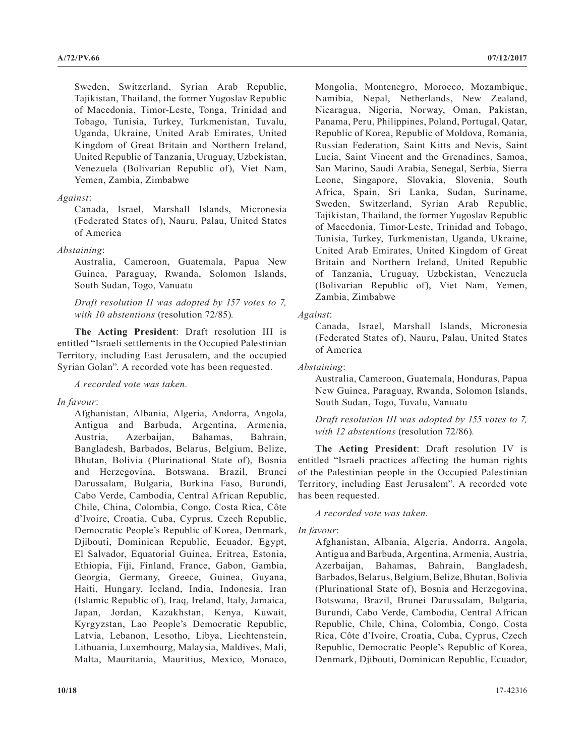Sweden, Switzerland, Syrian Arab Republic, Tajikistan, Thailand, the former Yugoslav Republic of Macedonia, Timor-Leste, Tonga, Trinidad and Tobago, Tunisia, Turkey, Turkmenistan, Tuvalu, Uganda, Ukraine, United Arab Emirates, United Kingdom of Great Britain and Northern Ireland, United Republic of Tanzania, Uruguay, Uzbekistan, Venezuela (Bolivarian Republic of), Viet Nam, Yemen, Zambia, Zimbabwe

# *Against*:

Canada, Israel, Marshall Islands, Micronesia (Federated States of), Nauru, Palau, United States of America

# *Abstaining*:

Australia, Cameroon, Guatemala, Papua New Guinea, Paraguay, Rwanda, Solomon Islands, South Sudan, Togo, Vanuatu

*Draft resolution II was adopted by 157 votes to 7, with 10 abstentions* (resolution 72/85)*.*

**The Acting President**: Draft resolution III is entitled "Israeli settlements in the Occupied Palestinian Territory, including East Jerusalem, and the occupied Syrian Golan". A recorded vote has been requested.

*A recorded vote was taken.*

# *In favour*:

Afghanistan, Albania, Algeria, Andorra, Angola, Antigua and Barbuda, Argentina, Armenia, Austria, Azerbaijan, Bahamas, Bahrain, Bangladesh, Barbados, Belarus, Belgium, Belize, Bhutan, Bolivia (Plurinational State of), Bosnia and Herzegovina, Botswana, Brazil, Brunei Darussalam, Bulgaria, Burkina Faso, Burundi, Cabo Verde, Cambodia, Central African Republic, Chile, China, Colombia, Congo, Costa Rica, Côte d'Ivoire, Croatia, Cuba, Cyprus, Czech Republic, Democratic People's Republic of Korea, Denmark, Djibouti, Dominican Republic, Ecuador, Egypt, El Salvador, Equatorial Guinea, Eritrea, Estonia, Ethiopia, Fiji, Finland, France, Gabon, Gambia, Georgia, Germany, Greece, Guinea, Guyana, Haiti, Hungary, Iceland, India, Indonesia, Iran (Islamic Republic of), Iraq, Ireland, Italy, Jamaica, Japan, Jordan, Kazakhstan, Kenya, Kuwait, Kyrgyzstan, Lao People's Democratic Republic, Latvia, Lebanon, Lesotho, Libya, Liechtenstein, Lithuania, Luxembourg, Malaysia, Maldives, Mali, Malta, Mauritania, Mauritius, Mexico, Monaco, Mongolia, Montenegro, Morocco, Mozambique, Namibia, Nepal, Netherlands, New Zealand, Nicaragua, Nigeria, Norway, Oman, Pakistan, Panama, Peru, Philippines, Poland, Portugal, Qatar, Republic of Korea, Republic of Moldova, Romania, Russian Federation, Saint Kitts and Nevis, Saint Lucia, Saint Vincent and the Grenadines, Samoa, San Marino, Saudi Arabia, Senegal, Serbia, Sierra Leone, Singapore, Slovakia, Slovenia, South Africa, Spain, Sri Lanka, Sudan, Suriname, Sweden, Switzerland, Syrian Arab Republic, Tajikistan, Thailand, the former Yugoslav Republic of Macedonia, Timor-Leste, Trinidad and Tobago, Tunisia, Turkey, Turkmenistan, Uganda, Ukraine, United Arab Emirates, United Kingdom of Great Britain and Northern Ireland, United Republic of Tanzania, Uruguay, Uzbekistan, Venezuela (Bolivarian Republic of), Viet Nam, Yemen, Zambia, Zimbabwe

# *Against*:

Canada, Israel, Marshall Islands, Micronesia (Federated States of), Nauru, Palau, United States of America

# *Abstaining*:

Australia, Cameroon, Guatemala, Honduras, Papua New Guinea, Paraguay, Rwanda, Solomon Islands, South Sudan, Togo, Tuvalu, Vanuatu

*Draft resolution III was adopted by 155 votes to 7, with 12 abstentions* (resolution 72/86)*.*

**The Acting President**: Draft resolution IV is entitled "Israeli practices affecting the human rights of the Palestinian people in the Occupied Palestinian Territory, including East Jerusalem". A recorded vote has been requested.

*A recorded vote was taken.*

# *In favour*:

Afghanistan, Albania, Algeria, Andorra, Angola, Antigua and Barbuda, Argentina, Armenia, Austria, Azerbaijan, Bahamas, Bahrain, Bangladesh, Barbados, Belarus, Belgium, Belize, Bhutan, Bolivia (Plurinational State of), Bosnia and Herzegovina, Botswana, Brazil, Brunei Darussalam, Bulgaria, Burundi, Cabo Verde, Cambodia, Central African Republic, Chile, China, Colombia, Congo, Costa Rica, Côte d'Ivoire, Croatia, Cuba, Cyprus, Czech Republic, Democratic People's Republic of Korea, Denmark, Djibouti, Dominican Republic, Ecuador,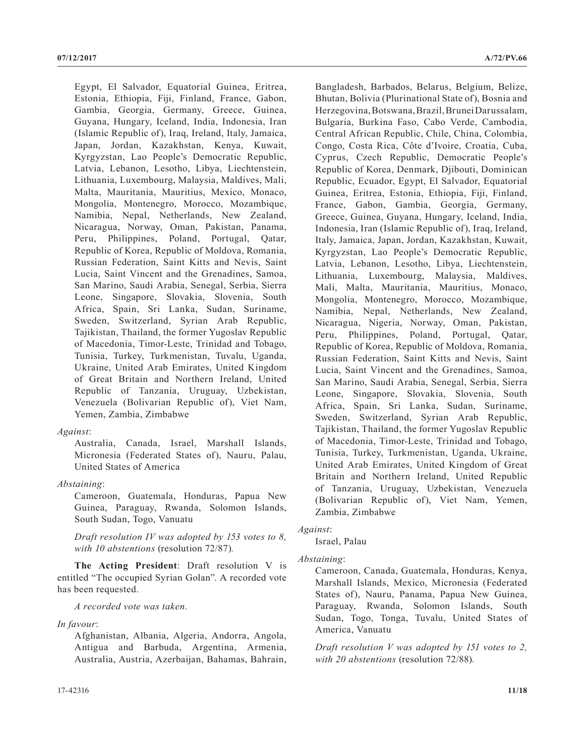Egypt, El Salvador, Equatorial Guinea, Eritrea, Estonia, Ethiopia, Fiji, Finland, France, Gabon, Gambia, Georgia, Germany, Greece, Guinea, Guyana, Hungary, Iceland, India, Indonesia, Iran (Islamic Republic of), Iraq, Ireland, Italy, Jamaica, Japan, Jordan, Kazakhstan, Kenya, Kuwait, Kyrgyzstan, Lao People's Democratic Republic, Latvia, Lebanon, Lesotho, Libya, Liechtenstein, Lithuania, Luxembourg, Malaysia, Maldives, Mali, Malta, Mauritania, Mauritius, Mexico, Monaco, Mongolia, Montenegro, Morocco, Mozambique, Namibia, Nepal, Netherlands, New Zealand, Nicaragua, Norway, Oman, Pakistan, Panama, Peru, Philippines, Poland, Portugal, Qatar, Republic of Korea, Republic of Moldova, Romania, Russian Federation, Saint Kitts and Nevis, Saint Lucia, Saint Vincent and the Grenadines, Samoa, San Marino, Saudi Arabia, Senegal, Serbia, Sierra Leone, Singapore, Slovakia, Slovenia, South Africa, Spain, Sri Lanka, Sudan, Suriname, Sweden, Switzerland, Syrian Arab Republic, Tajikistan, Thailand, the former Yugoslav Republic of Macedonia, Timor-Leste, Trinidad and Tobago, Tunisia, Turkey, Turkmenistan, Tuvalu, Uganda, Ukraine, United Arab Emirates, United Kingdom of Great Britain and Northern Ireland, United Republic of Tanzania, Uruguay, Uzbekistan, Venezuela (Bolivarian Republic of), Viet Nam, Yemen, Zambia, Zimbabwe

## *Against*:

Australia, Canada, Israel, Marshall Islands, Micronesia (Federated States of), Nauru, Palau, United States of America

# *Abstaining*:

Cameroon, Guatemala, Honduras, Papua New Guinea, Paraguay, Rwanda, Solomon Islands, South Sudan, Togo, Vanuatu

*Draft resolution IV was adopted by 153 votes to 8, with 10 abstentions* (resolution 72/87)*.*

**The Acting President**: Draft resolution V is entitled "The occupied Syrian Golan". A recorded vote has been requested.

*A recorded vote was taken.*

## *In favour*:

Afghanistan, Albania, Algeria, Andorra, Angola, Antigua and Barbuda, Argentina, Armenia, Australia, Austria, Azerbaijan, Bahamas, Bahrain, Bangladesh, Barbados, Belarus, Belgium, Belize, Bhutan, Bolivia (Plurinational State of), Bosnia and Herzegovina, Botswana, Brazil, Brunei Darussalam, Bulgaria, Burkina Faso, Cabo Verde, Cambodia, Central African Republic, Chile, China, Colombia, Congo, Costa Rica, Côte d'Ivoire, Croatia, Cuba, Cyprus, Czech Republic, Democratic People's Republic of Korea, Denmark, Djibouti, Dominican Republic, Ecuador, Egypt, El Salvador, Equatorial Guinea, Eritrea, Estonia, Ethiopia, Fiji, Finland, France, Gabon, Gambia, Georgia, Germany, Greece, Guinea, Guyana, Hungary, Iceland, India, Indonesia, Iran (Islamic Republic of), Iraq, Ireland, Italy, Jamaica, Japan, Jordan, Kazakhstan, Kuwait, Kyrgyzstan, Lao People's Democratic Republic, Latvia, Lebanon, Lesotho, Libya, Liechtenstein, Lithuania, Luxembourg, Malaysia, Maldives, Mali, Malta, Mauritania, Mauritius, Monaco, Mongolia, Montenegro, Morocco, Mozambique, Namibia, Nepal, Netherlands, New Zealand, Nicaragua, Nigeria, Norway, Oman, Pakistan, Peru, Philippines, Poland, Portugal, Qatar, Republic of Korea, Republic of Moldova, Romania, Russian Federation, Saint Kitts and Nevis, Saint Lucia, Saint Vincent and the Grenadines, Samoa, San Marino, Saudi Arabia, Senegal, Serbia, Sierra Leone, Singapore, Slovakia, Slovenia, South Africa, Spain, Sri Lanka, Sudan, Suriname, Sweden, Switzerland, Syrian Arab Republic, Tajikistan, Thailand, the former Yugoslav Republic of Macedonia, Timor-Leste, Trinidad and Tobago, Tunisia, Turkey, Turkmenistan, Uganda, Ukraine, United Arab Emirates, United Kingdom of Great Britain and Northern Ireland, United Republic of Tanzania, Uruguay, Uzbekistan, Venezuela (Bolivarian Republic of), Viet Nam, Yemen, Zambia, Zimbabwe

# *Against*:

Israel, Palau

# *Abstaining*:

Cameroon, Canada, Guatemala, Honduras, Kenya, Marshall Islands, Mexico, Micronesia (Federated States of), Nauru, Panama, Papua New Guinea, Paraguay, Rwanda, Solomon Islands, South Sudan, Togo, Tonga, Tuvalu, United States of America, Vanuatu

*Draft resolution V was adopted by 151 votes to 2, with 20 abstentions* (resolution 72/88)*.*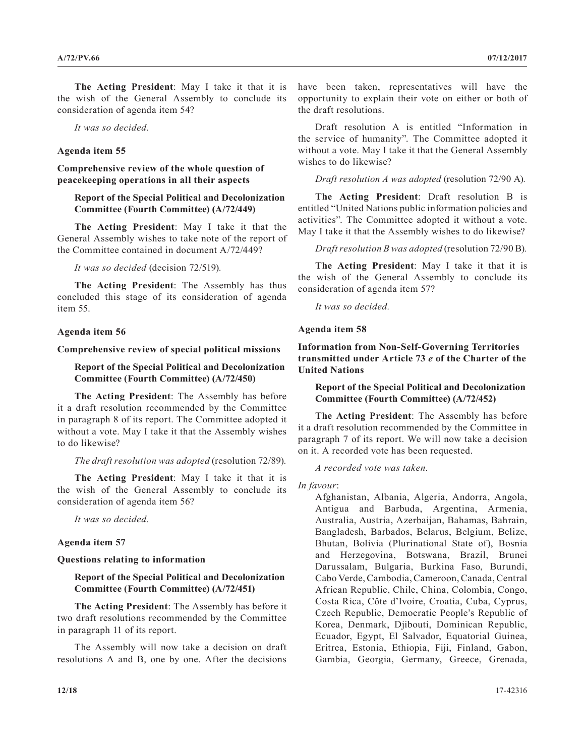**The Acting President**: May I take it that it is the wish of the General Assembly to conclude its consideration of agenda item 54?

*It was so decided.*

## **Agenda item 55**

**Comprehensive review of the whole question of peacekeeping operations in all their aspects**

# **Report of the Special Political and Decolonization Committee (Fourth Committee) (A/72/449)**

**The Acting President**: May I take it that the General Assembly wishes to take note of the report of the Committee contained in document A/72/449?

*It was so decided* (decision 72/519)*.*

**The Acting President**: The Assembly has thus concluded this stage of its consideration of agenda item 55.

#### **Agenda item 56**

**Comprehensive review of special political missions**

# **Report of the Special Political and Decolonization Committee (Fourth Committee) (A/72/450)**

**The Acting President**: The Assembly has before it a draft resolution recommended by the Committee in paragraph 8 of its report. The Committee adopted it without a vote. May I take it that the Assembly wishes to do likewise?

#### *The draft resolution was adopted* (resolution 72/89)*.*

**The Acting President**: May I take it that it is the wish of the General Assembly to conclude its consideration of agenda item 56?

*It was so decided.*

# **Agenda item 57**

## **Questions relating to information**

# **Report of the Special Political and Decolonization Committee (Fourth Committee) (A/72/451)**

**The Acting President**: The Assembly has before it two draft resolutions recommended by the Committee in paragraph 11 of its report.

The Assembly will now take a decision on draft resolutions A and B, one by one. After the decisions have been taken, representatives will have the opportunity to explain their vote on either or both of the draft resolutions.

Draft resolution A is entitled "Information in the service of humanity". The Committee adopted it without a vote. May I take it that the General Assembly wishes to do likewise?

*Draft resolution A was adopted* (resolution 72/90 A)*.*

**The Acting President**: Draft resolution B is entitled "United Nations public information policies and activities". The Committee adopted it without a vote. May I take it that the Assembly wishes to do likewise?

*Draft resolution B was adopted* (resolution 72/90 B)*.*

**The Acting President**: May I take it that it is the wish of the General Assembly to conclude its consideration of agenda item 57?

*It was so decided.*

**Agenda item 58**

**Information from Non-Self-Governing Territories transmitted under Article 73** *e* **of the Charter of the United Nations**

**Report of the Special Political and Decolonization Committee (Fourth Committee) (A/72/452)**

**The Acting President**: The Assembly has before it a draft resolution recommended by the Committee in paragraph 7 of its report. We will now take a decision on it. A recorded vote has been requested.

*A recorded vote was taken.*

*In favour*:

Afghanistan, Albania, Algeria, Andorra, Angola, Antigua and Barbuda, Argentina, Armenia, Australia, Austria, Azerbaijan, Bahamas, Bahrain, Bangladesh, Barbados, Belarus, Belgium, Belize, Bhutan, Bolivia (Plurinational State of), Bosnia and Herzegovina, Botswana, Brazil, Brunei Darussalam, Bulgaria, Burkina Faso, Burundi, Cabo Verde, Cambodia, Cameroon, Canada, Central African Republic, Chile, China, Colombia, Congo, Costa Rica, Côte d'Ivoire, Croatia, Cuba, Cyprus, Czech Republic, Democratic People's Republic of Korea, Denmark, Djibouti, Dominican Republic, Ecuador, Egypt, El Salvador, Equatorial Guinea, Eritrea, Estonia, Ethiopia, Fiji, Finland, Gabon, Gambia, Georgia, Germany, Greece, Grenada,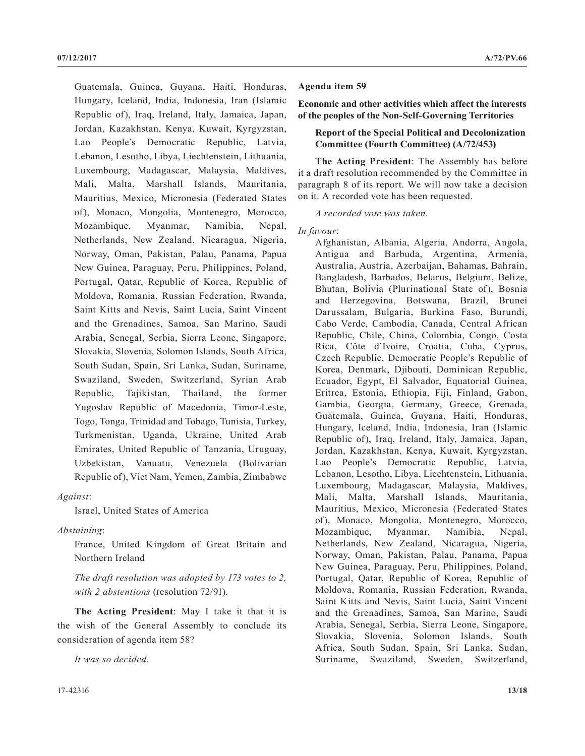Guatemala, Guinea, Guyana, Haiti, Honduras, Hungary, Iceland, India, Indonesia, Iran (Islamic Republic of), Iraq, Ireland, Italy, Jamaica, Japan, Jordan, Kazakhstan, Kenya, Kuwait, Kyrgyzstan, Lao People's Democratic Republic, Latvia, Lebanon, Lesotho, Libya, Liechtenstein, Lithuania, Luxembourg, Madagascar, Malaysia, Maldives, Mali, Malta, Marshall Islands, Mauritania, Mauritius, Mexico, Micronesia (Federated States of), Monaco, Mongolia, Montenegro, Morocco, Mozambique, Myanmar, Namibia, Nepal, Netherlands, New Zealand, Nicaragua, Nigeria, Norway, Oman, Pakistan, Palau, Panama, Papua New Guinea, Paraguay, Peru, Philippines, Poland, Portugal, Qatar, Republic of Korea, Republic of Moldova, Romania, Russian Federation, Rwanda, Saint Kitts and Nevis, Saint Lucia, Saint Vincent and the Grenadines, Samoa, San Marino, Saudi Arabia, Senegal, Serbia, Sierra Leone, Singapore, Slovakia, Slovenia, Solomon Islands, South Africa, South Sudan, Spain, Sri Lanka, Sudan, Suriname, Swaziland, Sweden, Switzerland, Syrian Arab Republic, Tajikistan, Thailand, the former Yugoslav Republic of Macedonia, Timor-Leste, Togo, Tonga, Trinidad and Tobago, Tunisia, Turkey, Turkmenistan, Uganda, Ukraine, United Arab Emirates, United Republic of Tanzania, Uruguay, Uzbekistan, Vanuatu, Venezuela (Bolivarian Republic of), Viet Nam, Yemen, Zambia, Zimbabwe

*Against*:

Israel, United States of America

*Abstaining*:

France, United Kingdom of Great Britain and Northern Ireland

*The draft resolution was adopted by 173 votes to 2, with 2 abstentions* (resolution 72/91)*.*

**The Acting President**: May I take it that it is the wish of the General Assembly to conclude its consideration of agenda item 58?

*It was so decided.*

#### **07/12/2017 A/72/PV.66**

## **Agenda item 59**

**Economic and other activities which affect the interests of the peoples of the Non-Self-Governing Territories**

# **Report of the Special Political and Decolonization Committee (Fourth Committee) (A/72/453)**

**The Acting President**: The Assembly has before it a draft resolution recommended by the Committee in paragraph 8 of its report. We will now take a decision on it. A recorded vote has been requested.

*A recorded vote was taken.*

*In favour*:

Afghanistan, Albania, Algeria, Andorra, Angola, Antigua and Barbuda, Argentina, Armenia, Australia, Austria, Azerbaijan, Bahamas, Bahrain, Bangladesh, Barbados, Belarus, Belgium, Belize, Bhutan, Bolivia (Plurinational State of), Bosnia and Herzegovina, Botswana, Brazil, Brunei Darussalam, Bulgaria, Burkina Faso, Burundi, Cabo Verde, Cambodia, Canada, Central African Republic, Chile, China, Colombia, Congo, Costa Rica, Côte d'Ivoire, Croatia, Cuba, Cyprus, Czech Republic, Democratic People's Republic of Korea, Denmark, Djibouti, Dominican Republic, Ecuador, Egypt, El Salvador, Equatorial Guinea, Eritrea, Estonia, Ethiopia, Fiji, Finland, Gabon, Gambia, Georgia, Germany, Greece, Grenada, Guatemala, Guinea, Guyana, Haiti, Honduras, Hungary, Iceland, India, Indonesia, Iran (Islamic Republic of), Iraq, Ireland, Italy, Jamaica, Japan, Jordan, Kazakhstan, Kenya, Kuwait, Kyrgyzstan, Lao People's Democratic Republic, Latvia, Lebanon, Lesotho, Libya, Liechtenstein, Lithuania, Luxembourg, Madagascar, Malaysia, Maldives, Mali, Malta, Marshall Islands, Mauritania, Mauritius, Mexico, Micronesia (Federated States of), Monaco, Mongolia, Montenegro, Morocco, Mozambique, Myanmar, Namibia, Nepal, Netherlands, New Zealand, Nicaragua, Nigeria, Norway, Oman, Pakistan, Palau, Panama, Papua New Guinea, Paraguay, Peru, Philippines, Poland, Portugal, Qatar, Republic of Korea, Republic of Moldova, Romania, Russian Federation, Rwanda, Saint Kitts and Nevis, Saint Lucia, Saint Vincent and the Grenadines, Samoa, San Marino, Saudi Arabia, Senegal, Serbia, Sierra Leone, Singapore, Slovakia, Slovenia, Solomon Islands, South Africa, South Sudan, Spain, Sri Lanka, Sudan, Suriname, Swaziland, Sweden, Switzerland,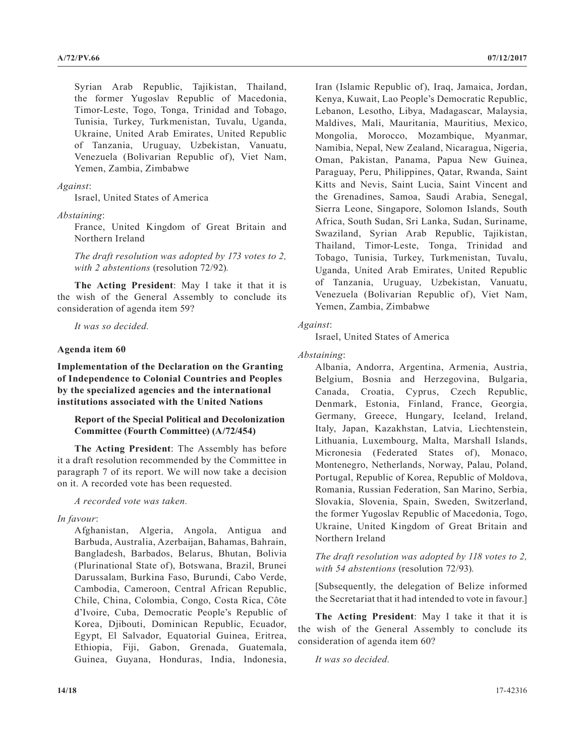Syrian Arab Republic, Tajikistan, Thailand, the former Yugoslav Republic of Macedonia, Timor-Leste, Togo, Tonga, Trinidad and Tobago, Tunisia, Turkey, Turkmenistan, Tuvalu, Uganda, Ukraine, United Arab Emirates, United Republic of Tanzania, Uruguay, Uzbekistan, Vanuatu, Venezuela (Bolivarian Republic of), Viet Nam, Yemen, Zambia, Zimbabwe

## *Against*:

Israel, United States of America

*Abstaining*:

France, United Kingdom of Great Britain and Northern Ireland

*The draft resolution was adopted by 173 votes to 2, with 2 abstentions* (resolution 72/92)*.*

**The Acting President**: May I take it that it is the wish of the General Assembly to conclude its consideration of agenda item 59?

*It was so decided.*

## **Agenda item 60**

**Implementation of the Declaration on the Granting of Independence to Colonial Countries and Peoples by the specialized agencies and the international institutions associated with the United Nations**

# **Report of the Special Political and Decolonization Committee (Fourth Committee) (A/72/454)**

**The Acting President**: The Assembly has before it a draft resolution recommended by the Committee in paragraph 7 of its report. We will now take a decision on it. A recorded vote has been requested.

*A recorded vote was taken.*

# *In favour*:

Afghanistan, Algeria, Angola, Antigua and Barbuda, Australia, Azerbaijan, Bahamas, Bahrain, Bangladesh, Barbados, Belarus, Bhutan, Bolivia (Plurinational State of), Botswana, Brazil, Brunei Darussalam, Burkina Faso, Burundi, Cabo Verde, Cambodia, Cameroon, Central African Republic, Chile, China, Colombia, Congo, Costa Rica, Côte d'Ivoire, Cuba, Democratic People's Republic of Korea, Djibouti, Dominican Republic, Ecuador, Egypt, El Salvador, Equatorial Guinea, Eritrea, Ethiopia, Fiji, Gabon, Grenada, Guatemala, Guinea, Guyana, Honduras, India, Indonesia,

Iran (Islamic Republic of), Iraq, Jamaica, Jordan, Kenya, Kuwait, Lao People's Democratic Republic, Lebanon, Lesotho, Libya, Madagascar, Malaysia, Maldives, Mali, Mauritania, Mauritius, Mexico, Mongolia, Morocco, Mozambique, Myanmar, Namibia, Nepal, New Zealand, Nicaragua, Nigeria, Oman, Pakistan, Panama, Papua New Guinea, Paraguay, Peru, Philippines, Qatar, Rwanda, Saint Kitts and Nevis, Saint Lucia, Saint Vincent and the Grenadines, Samoa, Saudi Arabia, Senegal, Sierra Leone, Singapore, Solomon Islands, South Africa, South Sudan, Sri Lanka, Sudan, Suriname, Swaziland, Syrian Arab Republic, Tajikistan, Thailand, Timor-Leste, Tonga, Trinidad and Tobago, Tunisia, Turkey, Turkmenistan, Tuvalu, Uganda, United Arab Emirates, United Republic of Tanzania, Uruguay, Uzbekistan, Vanuatu, Venezuela (Bolivarian Republic of), Viet Nam, Yemen, Zambia, Zimbabwe

## *Against*:

Israel, United States of America

*Abstaining*:

Albania, Andorra, Argentina, Armenia, Austria, Belgium, Bosnia and Herzegovina, Bulgaria, Canada, Croatia, Cyprus, Czech Republic, Denmark, Estonia, Finland, France, Georgia, Germany, Greece, Hungary, Iceland, Ireland, Italy, Japan, Kazakhstan, Latvia, Liechtenstein, Lithuania, Luxembourg, Malta, Marshall Islands, Micronesia (Federated States of), Monaco, Montenegro, Netherlands, Norway, Palau, Poland, Portugal, Republic of Korea, Republic of Moldova, Romania, Russian Federation, San Marino, Serbia, Slovakia, Slovenia, Spain, Sweden, Switzerland, the former Yugoslav Republic of Macedonia, Togo, Ukraine, United Kingdom of Great Britain and Northern Ireland

*The draft resolution was adopted by 118 votes to 2, with 54 abstentions* (resolution 72/93)*.*

[Subsequently, the delegation of Belize informed the Secretariat that it had intended to vote in favour.]

**The Acting President**: May I take it that it is the wish of the General Assembly to conclude its consideration of agenda item 60?

*It was so decided.*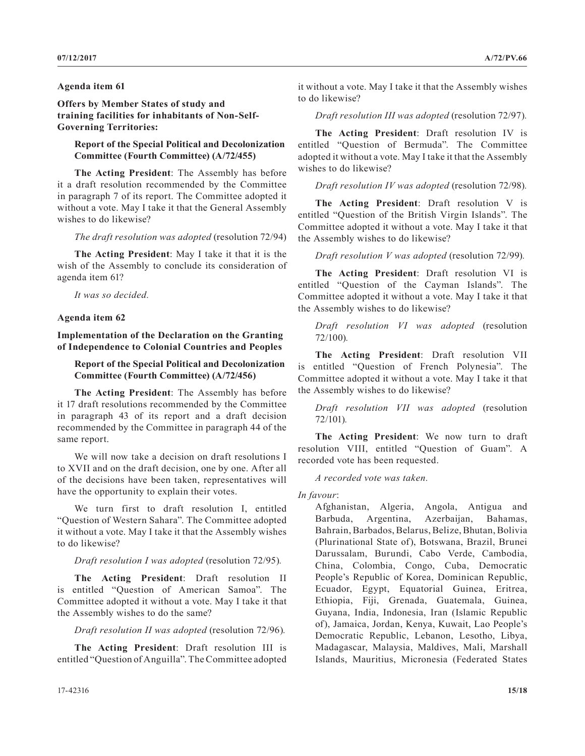### **Agenda item 61**

**Offers by Member States of study and training facilities for inhabitants of Non-Self-Governing Territories:**

**Report of the Special Political and Decolonization Committee (Fourth Committee) (A/72/455)**

**The Acting President**: The Assembly has before it a draft resolution recommended by the Committee in paragraph 7 of its report. The Committee adopted it without a vote. May I take it that the General Assembly wishes to do likewise?

*The draft resolution was adopted* (resolution 72/94)

**The Acting President**: May I take it that it is the wish of the Assembly to conclude its consideration of agenda item 61?

*It was so decided.*

# **Agenda item 62**

**Implementation of the Declaration on the Granting of Independence to Colonial Countries and Peoples**

# **Report of the Special Political and Decolonization Committee (Fourth Committee) (A/72/456)**

**The Acting President**: The Assembly has before it 17 draft resolutions recommended by the Committee in paragraph 43 of its report and a draft decision recommended by the Committee in paragraph 44 of the same report.

We will now take a decision on draft resolutions I to XVII and on the draft decision, one by one. After all of the decisions have been taken, representatives will have the opportunity to explain their votes.

We turn first to draft resolution I, entitled "Question of Western Sahara". The Committee adopted it without a vote. May I take it that the Assembly wishes to do likewise?

## *Draft resolution I was adopted* (resolution 72/95)*.*

**The Acting President**: Draft resolution II is entitled "Question of American Samoa". The Committee adopted it without a vote. May I take it that the Assembly wishes to do the same?

*Draft resolution II was adopted* (resolution 72/96)*.*

**The Acting President**: Draft resolution III is entitled "Question of Anguilla". The Committee adopted it without a vote. May I take it that the Assembly wishes to do likewise?

*Draft resolution III was adopted* (resolution 72/97)*.*

**The Acting President**: Draft resolution IV is entitled "Question of Bermuda". The Committee adopted it without a vote. May I take it that the Assembly wishes to do likewise?

*Draft resolution IV was adopted* (resolution 72/98)*.*

**The Acting President**: Draft resolution V is entitled "Question of the British Virgin Islands". The Committee adopted it without a vote. May I take it that the Assembly wishes to do likewise?

*Draft resolution V was adopted* (resolution 72/99)*.*

**The Acting President**: Draft resolution VI is entitled "Question of the Cayman Islands". The Committee adopted it without a vote. May I take it that the Assembly wishes to do likewise?

*Draft resolution VI was adopted* (resolution 72/100)*.*

**The Acting President**: Draft resolution VII is entitled "Question of French Polynesia". The Committee adopted it without a vote. May I take it that the Assembly wishes to do likewise?

*Draft resolution VII was adopted* (resolution 72/101)*.*

**The Acting President**: We now turn to draft resolution VIII, entitled "Question of Guam". A recorded vote has been requested.

*A recorded vote was taken.*

*In favour*:

Afghanistan, Algeria, Angola, Antigua and Barbuda, Argentina, Azerbaijan, Bahamas, Bahrain, Barbados, Belarus, Belize, Bhutan, Bolivia (Plurinational State of), Botswana, Brazil, Brunei Darussalam, Burundi, Cabo Verde, Cambodia, China, Colombia, Congo, Cuba, Democratic People's Republic of Korea, Dominican Republic, Ecuador, Egypt, Equatorial Guinea, Eritrea, Ethiopia, Fiji, Grenada, Guatemala, Guinea, Guyana, India, Indonesia, Iran (Islamic Republic of), Jamaica, Jordan, Kenya, Kuwait, Lao People's Democratic Republic, Lebanon, Lesotho, Libya, Madagascar, Malaysia, Maldives, Mali, Marshall Islands, Mauritius, Micronesia (Federated States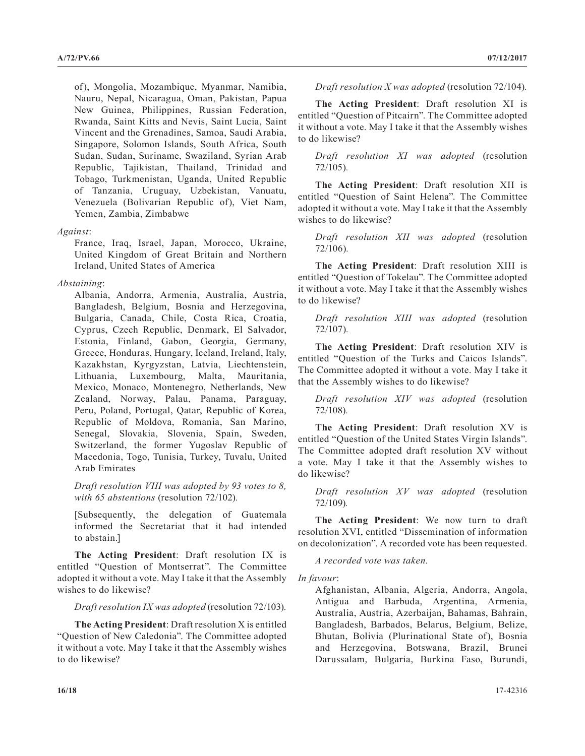of), Mongolia, Mozambique, Myanmar, Namibia, Nauru, Nepal, Nicaragua, Oman, Pakistan, Papua New Guinea, Philippines, Russian Federation, Rwanda, Saint Kitts and Nevis, Saint Lucia, Saint Vincent and the Grenadines, Samoa, Saudi Arabia, Singapore, Solomon Islands, South Africa, South Sudan, Sudan, Suriname, Swaziland, Syrian Arab Republic, Tajikistan, Thailand, Trinidad and Tobago, Turkmenistan, Uganda, United Republic of Tanzania, Uruguay, Uzbekistan, Vanuatu, Venezuela (Bolivarian Republic of), Viet Nam, Yemen, Zambia, Zimbabwe

## *Against*:

France, Iraq, Israel, Japan, Morocco, Ukraine, United Kingdom of Great Britain and Northern Ireland, United States of America

# *Abstaining*:

Albania, Andorra, Armenia, Australia, Austria, Bangladesh, Belgium, Bosnia and Herzegovina, Bulgaria, Canada, Chile, Costa Rica, Croatia, Cyprus, Czech Republic, Denmark, El Salvador, Estonia, Finland, Gabon, Georgia, Germany, Greece, Honduras, Hungary, Iceland, Ireland, Italy, Kazakhstan, Kyrgyzstan, Latvia, Liechtenstein, Lithuania, Luxembourg, Malta, Mauritania, Mexico, Monaco, Montenegro, Netherlands, New Zealand, Norway, Palau, Panama, Paraguay, Peru, Poland, Portugal, Qatar, Republic of Korea, Republic of Moldova, Romania, San Marino, Senegal, Slovakia, Slovenia, Spain, Sweden, Switzerland, the former Yugoslav Republic of Macedonia, Togo, Tunisia, Turkey, Tuvalu, United Arab Emirates

*Draft resolution VIII was adopted by 93 votes to 8, with 65 abstentions* (resolution 72/102)*.*

[Subsequently, the delegation of Guatemala informed the Secretariat that it had intended to abstain.]

**The Acting President**: Draft resolution IX is entitled "Question of Montserrat". The Committee adopted it without a vote. May I take it that the Assembly wishes to do likewise?

*Draft resolution IX was adopted* (resolution 72/103)*.*

**The Acting President**: Draft resolution X is entitled "Question of New Caledonia". The Committee adopted it without a vote. May I take it that the Assembly wishes to do likewise?

*Draft resolution X was adopted* (resolution 72/104)*.*

**The Acting President**: Draft resolution XI is entitled "Question of Pitcairn". The Committee adopted it without a vote. May I take it that the Assembly wishes to do likewise?

*Draft resolution XI was adopted* (resolution 72/105)*.*

**The Acting President**: Draft resolution XII is entitled "Question of Saint Helena". The Committee adopted it without a vote. May I take it that the Assembly wishes to do likewise?

*Draft resolution XII was adopted* (resolution 72/106)*.*

**The Acting President**: Draft resolution XIII is entitled "Question of Tokelau". The Committee adopted it without a vote. May I take it that the Assembly wishes to do likewise?

*Draft resolution XIII was adopted* (resolution 72/107)*.*

**The Acting President**: Draft resolution XIV is entitled "Question of the Turks and Caicos Islands". The Committee adopted it without a vote. May I take it that the Assembly wishes to do likewise?

*Draft resolution XIV was adopted* (resolution 72/108)*.*

**The Acting President**: Draft resolution XV is entitled "Question of the United States Virgin Islands". The Committee adopted draft resolution XV without a vote. May I take it that the Assembly wishes to do likewise?

*Draft resolution XV was adopted* (resolution 72/109)*.*

**The Acting President**: We now turn to draft resolution XVI, entitled "Dissemination of information on decolonization". A recorded vote has been requested.

*A recorded vote was taken.*

*In favour*:

Afghanistan, Albania, Algeria, Andorra, Angola, Antigua and Barbuda, Argentina, Armenia, Australia, Austria, Azerbaijan, Bahamas, Bahrain, Bangladesh, Barbados, Belarus, Belgium, Belize, Bhutan, Bolivia (Plurinational State of), Bosnia and Herzegovina, Botswana, Brazil, Brunei Darussalam, Bulgaria, Burkina Faso, Burundi,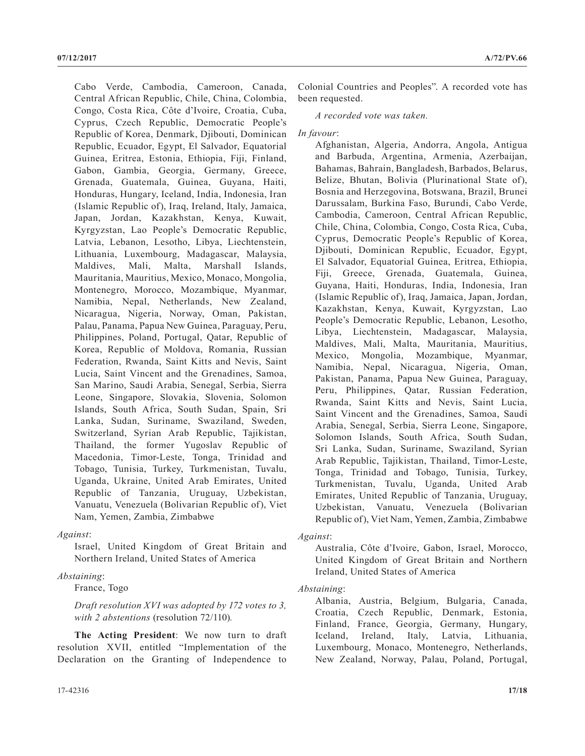Cabo Verde, Cambodia, Cameroon, Canada, Central African Republic, Chile, China, Colombia, Congo, Costa Rica, Côte d'Ivoire, Croatia, Cuba, Cyprus, Czech Republic, Democratic People's Republic of Korea, Denmark, Djibouti, Dominican Republic, Ecuador, Egypt, El Salvador, Equatorial Guinea, Eritrea, Estonia, Ethiopia, Fiji, Finland, Gabon, Gambia, Georgia, Germany, Greece, Grenada, Guatemala, Guinea, Guyana, Haiti, Honduras, Hungary, Iceland, India, Indonesia, Iran (Islamic Republic of), Iraq, Ireland, Italy, Jamaica, Japan, Jordan, Kazakhstan, Kenya, Kuwait, Kyrgyzstan, Lao People's Democratic Republic, Latvia, Lebanon, Lesotho, Libya, Liechtenstein, Lithuania, Luxembourg, Madagascar, Malaysia, Maldives, Mali, Malta, Marshall Islands, Mauritania, Mauritius, Mexico, Monaco, Mongolia, Montenegro, Morocco, Mozambique, Myanmar, Namibia, Nepal, Netherlands, New Zealand, Nicaragua, Nigeria, Norway, Oman, Pakistan, Palau, Panama, Papua New Guinea, Paraguay, Peru, Philippines, Poland, Portugal, Qatar, Republic of Korea, Republic of Moldova, Romania, Russian Federation, Rwanda, Saint Kitts and Nevis, Saint Lucia, Saint Vincent and the Grenadines, Samoa, San Marino, Saudi Arabia, Senegal, Serbia, Sierra Leone, Singapore, Slovakia, Slovenia, Solomon Islands, South Africa, South Sudan, Spain, Sri Lanka, Sudan, Suriname, Swaziland, Sweden, Switzerland, Syrian Arab Republic, Tajikistan, Thailand, the former Yugoslav Republic of Macedonia, Timor-Leste, Tonga, Trinidad and Tobago, Tunisia, Turkey, Turkmenistan, Tuvalu, Uganda, Ukraine, United Arab Emirates, United Republic of Tanzania, Uruguay, Uzbekistan, Vanuatu, Venezuela (Bolivarian Republic of), Viet Nam, Yemen, Zambia, Zimbabwe

## *Against*:

Israel, United Kingdom of Great Britain and Northern Ireland, United States of America

# *Abstaining*:

France, Togo

*Draft resolution XVI was adopted by 172 votes to 3, with 2 abstentions* (resolution 72/110)*.*

**The Acting President**: We now turn to draft resolution XVII, entitled "Implementation of the Declaration on the Granting of Independence to Colonial Countries and Peoples". A recorded vote has been requested.

*A recorded vote was taken.*

*In favour*:

Afghanistan, Algeria, Andorra, Angola, Antigua and Barbuda, Argentina, Armenia, Azerbaijan, Bahamas, Bahrain, Bangladesh, Barbados, Belarus, Belize, Bhutan, Bolivia (Plurinational State of), Bosnia and Herzegovina, Botswana, Brazil, Brunei Darussalam, Burkina Faso, Burundi, Cabo Verde, Cambodia, Cameroon, Central African Republic, Chile, China, Colombia, Congo, Costa Rica, Cuba, Cyprus, Democratic People's Republic of Korea, Djibouti, Dominican Republic, Ecuador, Egypt, El Salvador, Equatorial Guinea, Eritrea, Ethiopia, Fiji, Greece, Grenada, Guatemala, Guinea, Guyana, Haiti, Honduras, India, Indonesia, Iran (Islamic Republic of), Iraq, Jamaica, Japan, Jordan, Kazakhstan, Kenya, Kuwait, Kyrgyzstan, Lao People's Democratic Republic, Lebanon, Lesotho, Libya, Liechtenstein, Madagascar, Malaysia, Maldives, Mali, Malta, Mauritania, Mauritius, Mexico, Mongolia, Mozambique, Myanmar, Namibia, Nepal, Nicaragua, Nigeria, Oman, Pakistan, Panama, Papua New Guinea, Paraguay, Peru, Philippines, Qatar, Russian Federation, Rwanda, Saint Kitts and Nevis, Saint Lucia, Saint Vincent and the Grenadines, Samoa, Saudi Arabia, Senegal, Serbia, Sierra Leone, Singapore, Solomon Islands, South Africa, South Sudan, Sri Lanka, Sudan, Suriname, Swaziland, Syrian Arab Republic, Tajikistan, Thailand, Timor-Leste, Tonga, Trinidad and Tobago, Tunisia, Turkey, Turkmenistan, Tuvalu, Uganda, United Arab Emirates, United Republic of Tanzania, Uruguay, Uzbekistan, Vanuatu, Venezuela (Bolivarian Republic of), Viet Nam, Yemen, Zambia, Zimbabwe

*Against*:

Australia, Côte d'Ivoire, Gabon, Israel, Morocco, United Kingdom of Great Britain and Northern Ireland, United States of America

## *Abstaining*:

Albania, Austria, Belgium, Bulgaria, Canada, Croatia, Czech Republic, Denmark, Estonia, Finland, France, Georgia, Germany, Hungary, Iceland, Ireland, Italy, Latvia, Lithuania, Luxembourg, Monaco, Montenegro, Netherlands, New Zealand, Norway, Palau, Poland, Portugal,